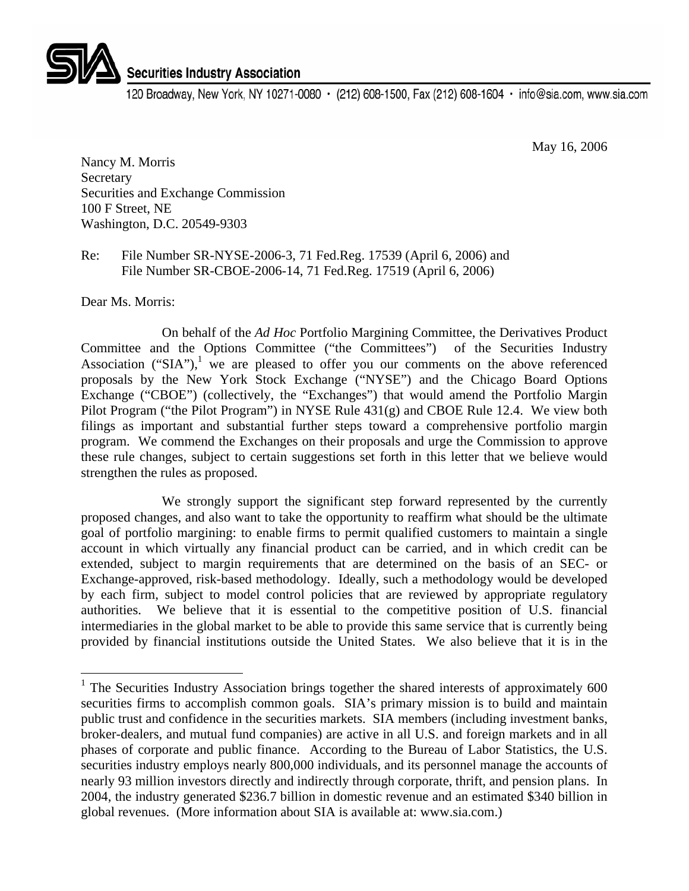

120 Broadway, New York, NY 10271-0080 · (212) 608-1500, Fax (212) 608-1604 · info@sia.com, www.sia.com

May 16, 2006

Nancy M. Morris **Secretary** Securities and Exchange Commission 100 F Street, NE Washington, D.C. 20549-9303

Re: File Number SR-NYSE-2006-3, 71 Fed.Reg. 17539 (April 6, 2006) and File Number SR-CBOE-2006-14, 71 Fed.Reg. 17519 (April 6, 2006)

Dear Ms. Morris:

<u>.</u>

On behalf of the *Ad Hoc* Portfolio Margining Committee, the Derivatives Product Committee and the Options Committee ("the Committees") of the Securities Industry Association ("SIA"),<sup>1</sup> we are pleased to offer you our comments on the above referenced proposals by the New York Stock Exchange ("NYSE") and the Chicago Board Options Exchange ("CBOE") (collectively, the "Exchanges") that would amend the Portfolio Margin Pilot Program ("the Pilot Program") in NYSE Rule 431(g) and CBOE Rule 12.4. We view both filings as important and substantial further steps toward a comprehensive portfolio margin program. We commend the Exchanges on their proposals and urge the Commission to approve these rule changes, subject to certain suggestions set forth in this letter that we believe would strengthen the rules as proposed.

We strongly support the significant step forward represented by the currently proposed changes, and also want to take the opportunity to reaffirm what should be the ultimate goal of portfolio margining: to enable firms to permit qualified customers to maintain a single account in which virtually any financial product can be carried, and in which credit can be extended, subject to margin requirements that are determined on the basis of an SEC- or Exchange-approved, risk-based methodology. Ideally, such a methodology would be developed by each firm, subject to model control policies that are reviewed by appropriate regulatory authorities. We believe that it is essential to the competitive position of U.S. financial intermediaries in the global market to be able to provide this same service that is currently being provided by financial institutions outside the United States. We also believe that it is in the

<sup>&</sup>lt;sup>1</sup> The Securities Industry Association brings together the shared interests of approximately 600 securities firms to accomplish common goals. SIA's primary mission is to build and maintain public trust and confidence in the securities markets. SIA members (including investment banks, broker-dealers, and mutual fund companies) are active in all U.S. and foreign markets and in all phases of corporate and public finance. According to the Bureau of Labor Statistics, the U.S. securities industry employs nearly 800,000 individuals, and its personnel manage the accounts of nearly 93 million investors directly and indirectly through corporate, thrift, and pension plans. In 2004, the industry generated \$236.7 billion in domestic revenue and an estimated \$340 billion in global revenues. (More information about SIA is available at: www.sia.com.)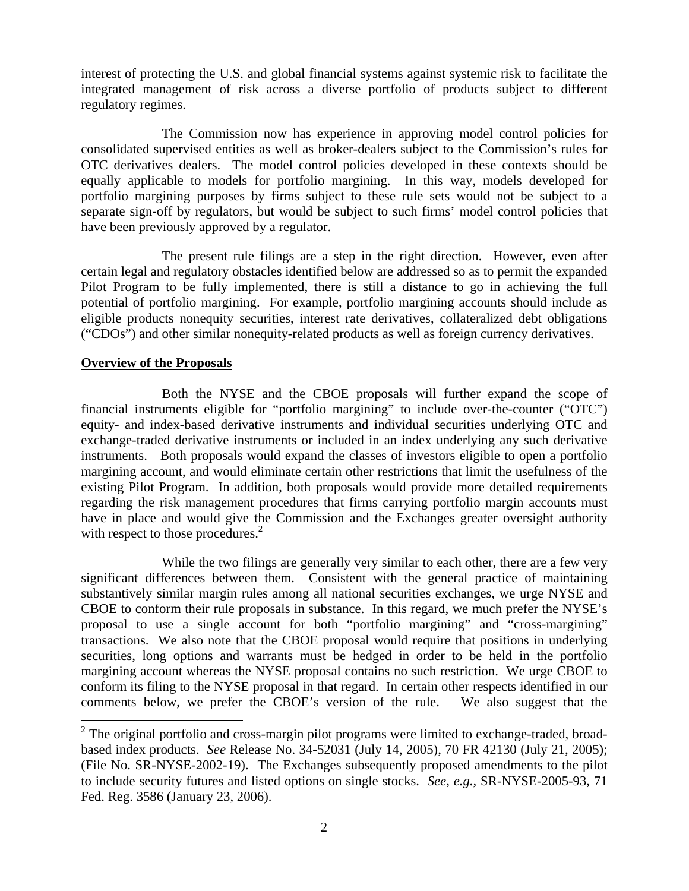interest of protecting the U.S. and global financial systems against systemic risk to facilitate the integrated management of risk across a diverse portfolio of products subject to different regulatory regimes.

The Commission now has experience in approving model control policies for consolidated supervised entities as well as broker-dealers subject to the Commission's rules for OTC derivatives dealers. The model control policies developed in these contexts should be equally applicable to models for portfolio margining. In this way, models developed for portfolio margining purposes by firms subject to these rule sets would not be subject to a separate sign-off by regulators, but would be subject to such firms' model control policies that have been previously approved by a regulator.

The present rule filings are a step in the right direction. However, even after certain legal and regulatory obstacles identified below are addressed so as to permit the expanded Pilot Program to be fully implemented, there is still a distance to go in achieving the full potential of portfolio margining. For example, portfolio margining accounts should include as eligible products nonequity securities, interest rate derivatives, collateralized debt obligations ("CDOs") and other similar nonequity-related products as well as foreign currency derivatives.

### **Overview of the Proposals**

Both the NYSE and the CBOE proposals will further expand the scope of financial instruments eligible for "portfolio margining" to include over-the-counter ("OTC") equity- and index-based derivative instruments and individual securities underlying OTC and exchange-traded derivative instruments or included in an index underlying any such derivative instruments. Both proposals would expand the classes of investors eligible to open a portfolio margining account, and would eliminate certain other restrictions that limit the usefulness of the existing Pilot Program. In addition, both proposals would provide more detailed requirements regarding the risk management procedures that firms carrying portfolio margin accounts must have in place and would give the Commission and the Exchanges greater oversight authority with respect to those procedures. $<sup>2</sup>$ </sup>

While the two filings are generally very similar to each other, there are a few very significant differences between them. Consistent with the general practice of maintaining substantively similar margin rules among all national securities exchanges, we urge NYSE and CBOE to conform their rule proposals in substance. In this regard, we much prefer the NYSE's proposal to use a single account for both "portfolio margining" and "cross-margining" transactions. We also note that the CBOE proposal would require that positions in underlying securities, long options and warrants must be hedged in order to be held in the portfolio margining account whereas the NYSE proposal contains no such restriction. We urge CBOE to conform its filing to the NYSE proposal in that regard. In certain other respects identified in our comments below, we prefer the CBOE's version of the rule. We also suggest that the

<sup>&</sup>lt;sup>2</sup> The original portfolio and cross-margin pilot programs were limited to exchange-traded, broadbased index products. *See* Release No. 34-52031 (July 14, 2005), 70 FR 42130 (July 21, 2005); (File No. SR-NYSE-2002-19). The Exchanges subsequently proposed amendments to the pilot to include security futures and listed options on single stocks. *See, e.g.,* SR-NYSE-2005-93, 71 Fed. Reg. 3586 (January 23, 2006).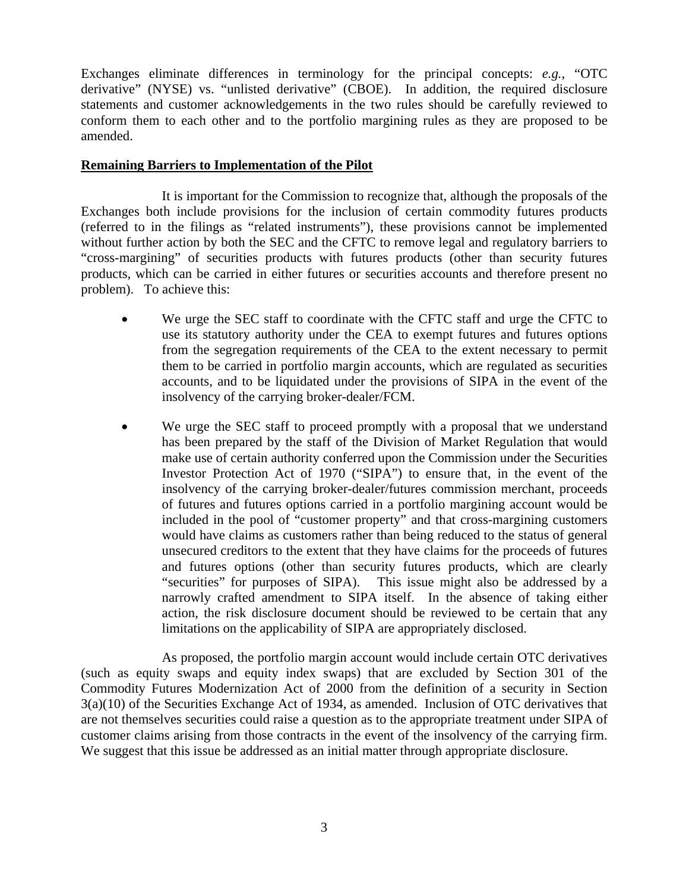Exchanges eliminate differences in terminology for the principal concepts: *e.g.*, "OTC derivative" (NYSE) vs. "unlisted derivative" (CBOE). In addition, the required disclosure statements and customer acknowledgements in the two rules should be carefully reviewed to conform them to each other and to the portfolio margining rules as they are proposed to be amended.

### **Remaining Barriers to Implementation of the Pilot**

It is important for the Commission to recognize that, although the proposals of the Exchanges both include provisions for the inclusion of certain commodity futures products (referred to in the filings as "related instruments"), these provisions cannot be implemented without further action by both the SEC and the CFTC to remove legal and regulatory barriers to "cross-margining" of securities products with futures products (other than security futures products, which can be carried in either futures or securities accounts and therefore present no problem). To achieve this:

- We urge the SEC staff to coordinate with the CFTC staff and urge the CFTC to use its statutory authority under the CEA to exempt futures and futures options from the segregation requirements of the CEA to the extent necessary to permit them to be carried in portfolio margin accounts, which are regulated as securities accounts, and to be liquidated under the provisions of SIPA in the event of the insolvency of the carrying broker-dealer/FCM.
- We urge the SEC staff to proceed promptly with a proposal that we understand has been prepared by the staff of the Division of Market Regulation that would make use of certain authority conferred upon the Commission under the Securities Investor Protection Act of 1970 ("SIPA") to ensure that, in the event of the insolvency of the carrying broker-dealer/futures commission merchant, proceeds of futures and futures options carried in a portfolio margining account would be included in the pool of "customer property" and that cross-margining customers would have claims as customers rather than being reduced to the status of general unsecured creditors to the extent that they have claims for the proceeds of futures and futures options (other than security futures products, which are clearly "securities" for purposes of SIPA). This issue might also be addressed by a narrowly crafted amendment to SIPA itself. In the absence of taking either action, the risk disclosure document should be reviewed to be certain that any limitations on the applicability of SIPA are appropriately disclosed.

As proposed, the portfolio margin account would include certain OTC derivatives (such as equity swaps and equity index swaps) that are excluded by Section 301 of the Commodity Futures Modernization Act of 2000 from the definition of a security in Section 3(a)(10) of the Securities Exchange Act of 1934, as amended. Inclusion of OTC derivatives that are not themselves securities could raise a question as to the appropriate treatment under SIPA of customer claims arising from those contracts in the event of the insolvency of the carrying firm. We suggest that this issue be addressed as an initial matter through appropriate disclosure.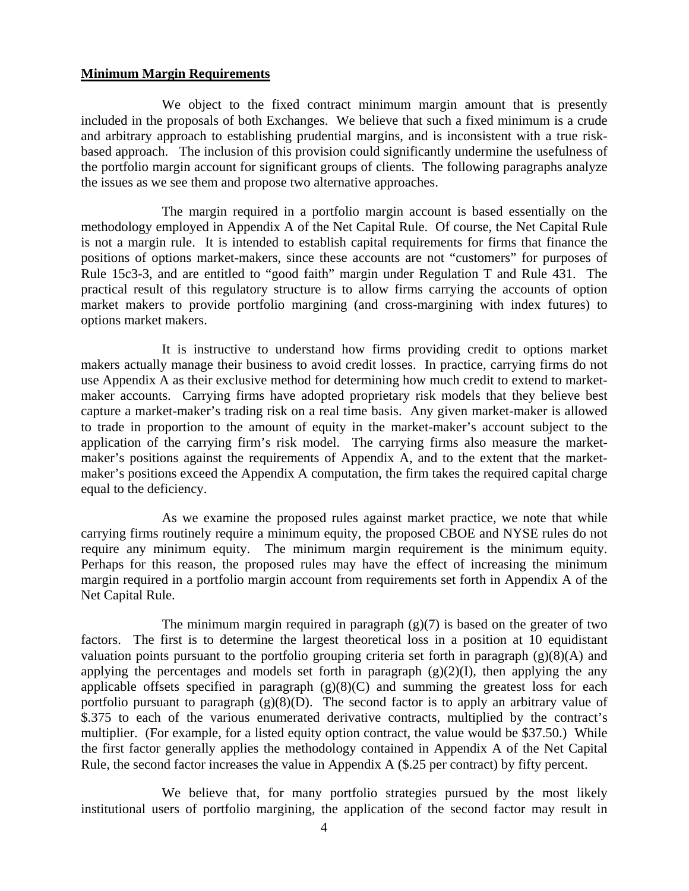### **Minimum Margin Requirements**

We object to the fixed contract minimum margin amount that is presently included in the proposals of both Exchanges. We believe that such a fixed minimum is a crude and arbitrary approach to establishing prudential margins, and is inconsistent with a true riskbased approach. The inclusion of this provision could significantly undermine the usefulness of the portfolio margin account for significant groups of clients. The following paragraphs analyze the issues as we see them and propose two alternative approaches.

The margin required in a portfolio margin account is based essentially on the methodology employed in Appendix A of the Net Capital Rule. Of course, the Net Capital Rule is not a margin rule. It is intended to establish capital requirements for firms that finance the positions of options market-makers, since these accounts are not "customers" for purposes of Rule 15c3-3, and are entitled to "good faith" margin under Regulation T and Rule 431. The practical result of this regulatory structure is to allow firms carrying the accounts of option market makers to provide portfolio margining (and cross-margining with index futures) to options market makers.

It is instructive to understand how firms providing credit to options market makers actually manage their business to avoid credit losses. In practice, carrying firms do not use Appendix A as their exclusive method for determining how much credit to extend to marketmaker accounts. Carrying firms have adopted proprietary risk models that they believe best capture a market-maker's trading risk on a real time basis. Any given market-maker is allowed to trade in proportion to the amount of equity in the market-maker's account subject to the application of the carrying firm's risk model. The carrying firms also measure the marketmaker's positions against the requirements of Appendix A, and to the extent that the marketmaker's positions exceed the Appendix A computation, the firm takes the required capital charge equal to the deficiency.

As we examine the proposed rules against market practice, we note that while carrying firms routinely require a minimum equity, the proposed CBOE and NYSE rules do not require any minimum equity. The minimum margin requirement is the minimum equity. Perhaps for this reason, the proposed rules may have the effect of increasing the minimum margin required in a portfolio margin account from requirements set forth in Appendix A of the Net Capital Rule.

The minimum margin required in paragraph  $(g)(7)$  is based on the greater of two factors. The first is to determine the largest theoretical loss in a position at 10 equidistant valuation points pursuant to the portfolio grouping criteria set forth in paragraph (g)(8)(A) and applying the percentages and models set forth in paragraph  $(g)(2)(I)$ , then applying the any applicable offsets specified in paragraph  $(g)(8)(C)$  and summing the greatest loss for each portfolio pursuant to paragraph  $(g)(8)(D)$ . The second factor is to apply an arbitrary value of \$.375 to each of the various enumerated derivative contracts, multiplied by the contract's multiplier. (For example, for a listed equity option contract, the value would be \$37.50.) While the first factor generally applies the methodology contained in Appendix A of the Net Capital Rule, the second factor increases the value in Appendix A (\$.25 per contract) by fifty percent.

We believe that, for many portfolio strategies pursued by the most likely institutional users of portfolio margining, the application of the second factor may result in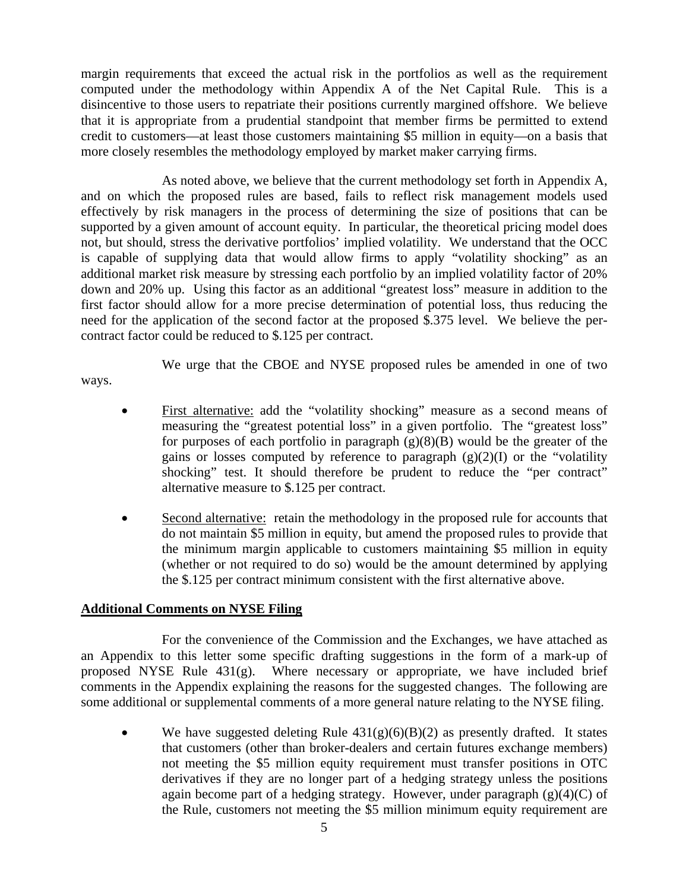margin requirements that exceed the actual risk in the portfolios as well as the requirement computed under the methodology within Appendix A of the Net Capital Rule. This is a disincentive to those users to repatriate their positions currently margined offshore. We believe that it is appropriate from a prudential standpoint that member firms be permitted to extend credit to customers—at least those customers maintaining \$5 million in equity—on a basis that more closely resembles the methodology employed by market maker carrying firms.

As noted above, we believe that the current methodology set forth in Appendix A, and on which the proposed rules are based, fails to reflect risk management models used effectively by risk managers in the process of determining the size of positions that can be supported by a given amount of account equity. In particular, the theoretical pricing model does not, but should, stress the derivative portfolios' implied volatility. We understand that the OCC is capable of supplying data that would allow firms to apply "volatility shocking" as an additional market risk measure by stressing each portfolio by an implied volatility factor of 20% down and 20% up. Using this factor as an additional "greatest loss" measure in addition to the first factor should allow for a more precise determination of potential loss, thus reducing the need for the application of the second factor at the proposed \$.375 level. We believe the percontract factor could be reduced to \$.125 per contract.

We urge that the CBOE and NYSE proposed rules be amended in one of two

ways.

- First alternative: add the "volatility shocking" measure as a second means of measuring the "greatest potential loss" in a given portfolio. The "greatest loss" for purposes of each portfolio in paragraph  $(g)(8)(B)$  would be the greater of the gains or losses computed by reference to paragraph  $(g)(2)(I)$  or the "volatility" shocking" test. It should therefore be prudent to reduce the "per contract" alternative measure to \$.125 per contract.
- Second alternative: retain the methodology in the proposed rule for accounts that do not maintain \$5 million in equity, but amend the proposed rules to provide that the minimum margin applicable to customers maintaining \$5 million in equity (whether or not required to do so) would be the amount determined by applying the \$.125 per contract minimum consistent with the first alternative above.

# **Additional Comments on NYSE Filing**

For the convenience of the Commission and the Exchanges, we have attached as an Appendix to this letter some specific drafting suggestions in the form of a mark-up of proposed NYSE Rule 431(g). Where necessary or appropriate, we have included brief comments in the Appendix explaining the reasons for the suggested changes. The following are some additional or supplemental comments of a more general nature relating to the NYSE filing.

We have suggested deleting Rule  $431(g)(6)(B)(2)$  as presently drafted. It states that customers (other than broker-dealers and certain futures exchange members) not meeting the \$5 million equity requirement must transfer positions in OTC derivatives if they are no longer part of a hedging strategy unless the positions again become part of a hedging strategy. However, under paragraph  $(g)(4)(C)$  of the Rule, customers not meeting the \$5 million minimum equity requirement are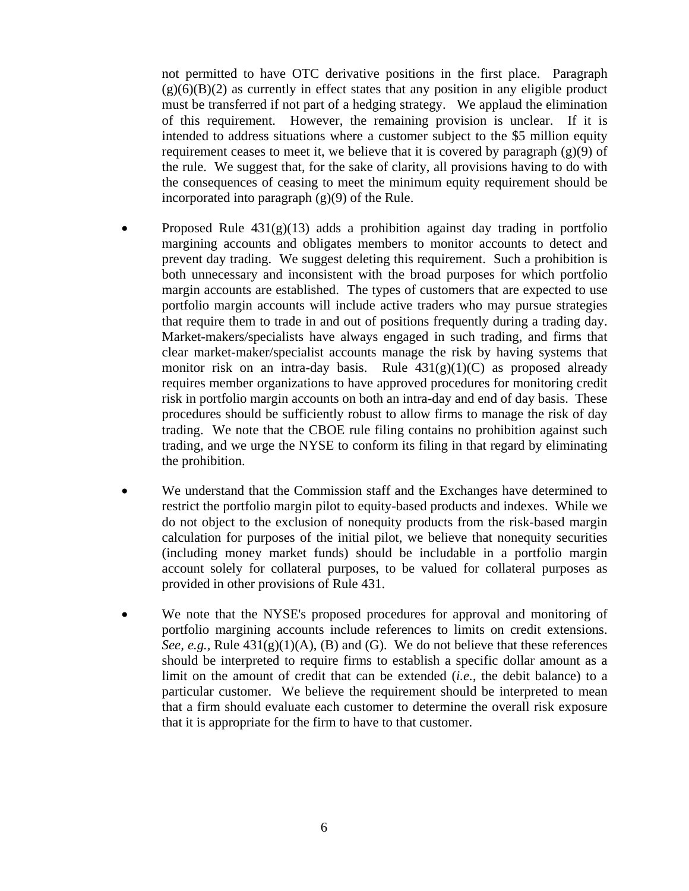not permitted to have OTC derivative positions in the first place. Paragraph  $(g)(6)(B)(2)$  as currently in effect states that any position in any eligible product must be transferred if not part of a hedging strategy. We applaud the elimination of this requirement. However, the remaining provision is unclear. If it is intended to address situations where a customer subject to the \$5 million equity requirement ceases to meet it, we believe that it is covered by paragraph  $(g)(9)$  of the rule. We suggest that, for the sake of clarity, all provisions having to do with the consequences of ceasing to meet the minimum equity requirement should be incorporated into paragraph  $(g)(9)$  of the Rule.

- Proposed Rule  $431(g)(13)$  adds a prohibition against day trading in portfolio margining accounts and obligates members to monitor accounts to detect and prevent day trading. We suggest deleting this requirement. Such a prohibition is both unnecessary and inconsistent with the broad purposes for which portfolio margin accounts are established. The types of customers that are expected to use portfolio margin accounts will include active traders who may pursue strategies that require them to trade in and out of positions frequently during a trading day. Market-makers/specialists have always engaged in such trading, and firms that clear market-maker/specialist accounts manage the risk by having systems that monitor risk on an intra-day basis. Rule  $431(g)(1)(C)$  as proposed already requires member organizations to have approved procedures for monitoring credit risk in portfolio margin accounts on both an intra-day and end of day basis. These procedures should be sufficiently robust to allow firms to manage the risk of day trading. We note that the CBOE rule filing contains no prohibition against such trading, and we urge the NYSE to conform its filing in that regard by eliminating the prohibition.
- We understand that the Commission staff and the Exchanges have determined to restrict the portfolio margin pilot to equity-based products and indexes. While we do not object to the exclusion of nonequity products from the risk-based margin calculation for purposes of the initial pilot, we believe that nonequity securities (including money market funds) should be includable in a portfolio margin account solely for collateral purposes, to be valued for collateral purposes as provided in other provisions of Rule 431.
- We note that the NYSE's proposed procedures for approval and monitoring of portfolio margining accounts include references to limits on credit extensions. *See, e.g.,* Rule  $431(g)(1)(A)$ , (B) and (G). We do not believe that these references should be interpreted to require firms to establish a specific dollar amount as a limit on the amount of credit that can be extended (*i.e.*, the debit balance) to a particular customer. We believe the requirement should be interpreted to mean that a firm should evaluate each customer to determine the overall risk exposure that it is appropriate for the firm to have to that customer.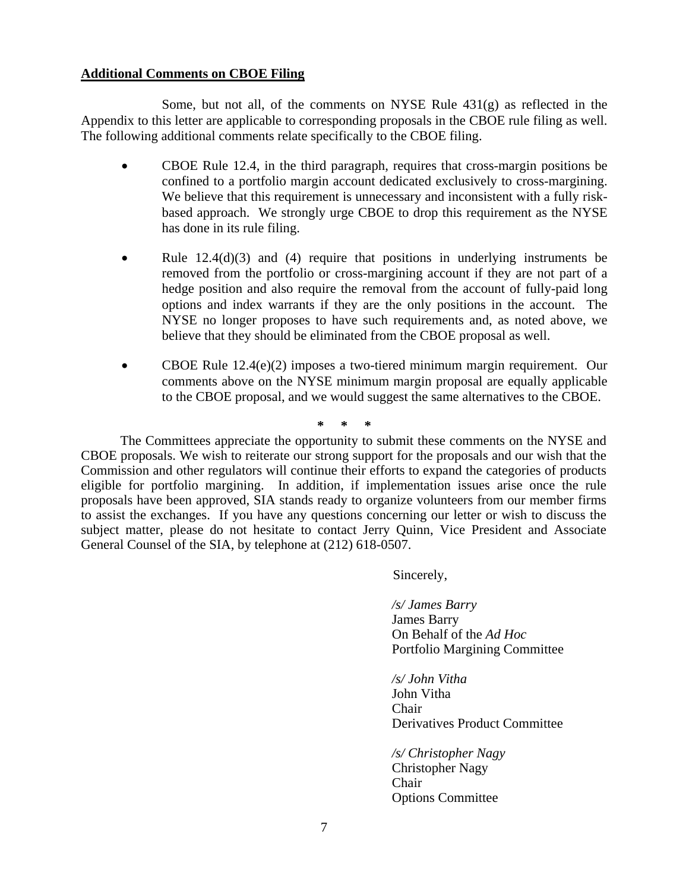### **Additional Comments on CBOE Filing**

Some, but not all, of the comments on NYSE Rule 431(g) as reflected in the Appendix to this letter are applicable to corresponding proposals in the CBOE rule filing as well. The following additional comments relate specifically to the CBOE filing.

- CBOE Rule 12.4, in the third paragraph, requires that cross-margin positions be confined to a portfolio margin account dedicated exclusively to cross-margining. We believe that this requirement is unnecessary and inconsistent with a fully riskbased approach. We strongly urge CBOE to drop this requirement as the NYSE has done in its rule filing.
- Rule 12.4(d)(3) and (4) require that positions in underlying instruments be removed from the portfolio or cross-margining account if they are not part of a hedge position and also require the removal from the account of fully-paid long options and index warrants if they are the only positions in the account. The NYSE no longer proposes to have such requirements and, as noted above, we believe that they should be eliminated from the CBOE proposal as well.
- CBOE Rule  $12.4(e)(2)$  imposes a two-tiered minimum margin requirement. Our comments above on the NYSE minimum margin proposal are equally applicable to the CBOE proposal, and we would suggest the same alternatives to the CBOE.

**\* \* \*** 

The Committees appreciate the opportunity to submit these comments on the NYSE and CBOE proposals. We wish to reiterate our strong support for the proposals and our wish that the Commission and other regulators will continue their efforts to expand the categories of products eligible for portfolio margining. In addition, if implementation issues arise once the rule proposals have been approved, SIA stands ready to organize volunteers from our member firms to assist the exchanges. If you have any questions concerning our letter or wish to discuss the subject matter, please do not hesitate to contact Jerry Quinn, Vice President and Associate General Counsel of the SIA, by telephone at (212) 618-0507.

Sincerely,

*/s/ James Barry*  James Barry On Behalf of the *Ad Hoc* Portfolio Margining Committee

*/s/ John Vitha*  John Vitha Chair Derivatives Product Committee

*/s/ Christopher Nagy*  Christopher Nagy Chair Options Committee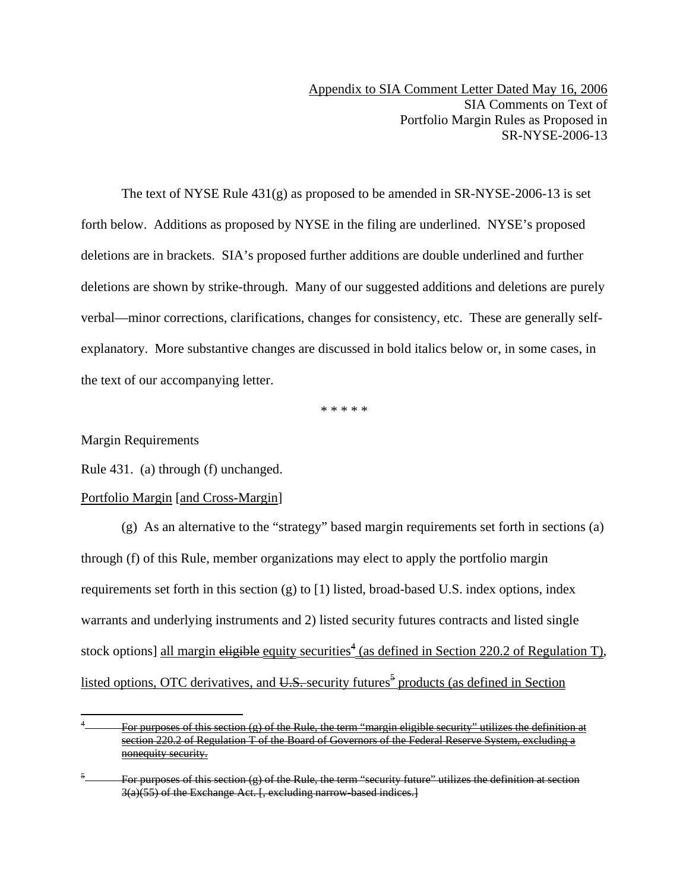The text of NYSE Rule  $431(g)$  as proposed to be amended in SR-NYSE-2006-13 is set forth below. Additions as proposed by NYSE in the filing are underlined. NYSE's proposed deletions are in brackets. SIA's proposed further additions are double underlined and further deletions are shown by strike-through. Many of our suggested additions and deletions are purely verbal—minor corrections, clarifications, changes for consistency, etc. These are generally selfexplanatory. More substantive changes are discussed in bold italics below or, in some cases, in the text of our accompanying letter.

\* \* \* \* \*

Margin Requirements

 $\overline{a}$ 

Rule 431. (a) through (f) unchanged.

#### Portfolio Margin [and Cross-Margin]

(g) As an alternative to the "strategy" based margin requirements set forth in sections (a) through (f) of this Rule, member organizations may elect to apply the portfolio margin requirements set forth in this section (g) to [1) listed, broad-based U.S. index options, index warrants and underlying instruments and 2) listed security futures contracts and listed single stock options] all margin eligible equity securities<sup>4</sup> (as defined in Section 220.2 of Regulation T), listed options, OTC derivatives, and  $U.S.$  security futures<sup>5</sup> products (as defined in Section

For purposes of this section (g) of the Rule, the term "margin eligible security" utilizes the definition at section 220.2 of Regulation T of the Board of Governors of the Federal Reserve System, excluding a nonequity security.

<sup>5</sup> For purposes of this section (g) of the Rule, the term "security future" utilizes the definition at section 3(a)(55) of the Exchange Act. [, excluding narrow-based indices.]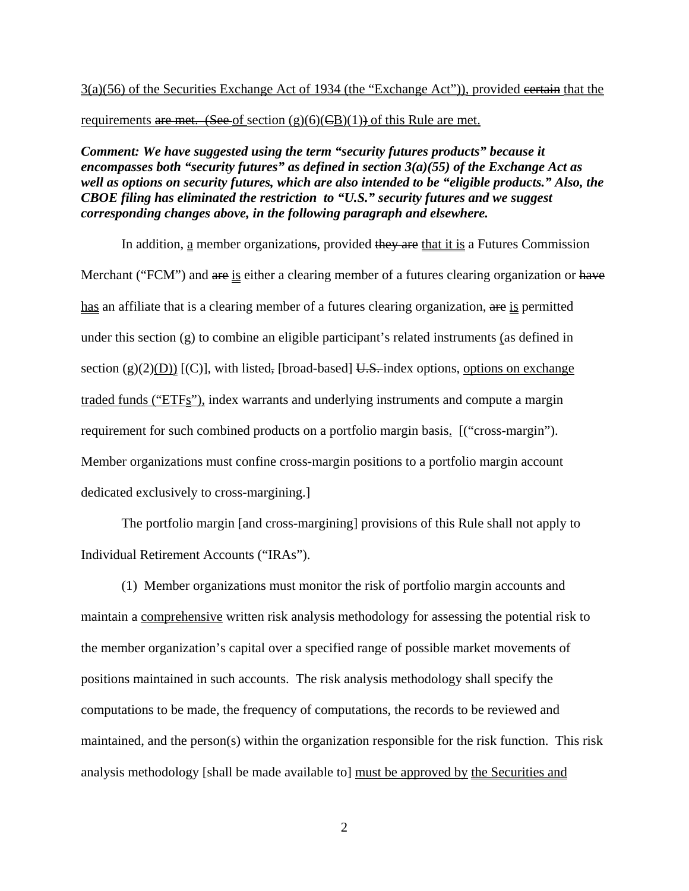3(a)(56) of the Securities Exchange Act of 1934 (the "Exchange Act")), provided certain that the requirements are met. (See of section  $(g)(6)(CB)(1)$ ) of this Rule are met.

*Comment: We have suggested using the term "security futures products" because it encompasses both "security futures" as defined in section 3(a)(55) of the Exchange Act as well as options on security futures, which are also intended to be "eligible products." Also, the CBOE filing has eliminated the restriction to "U.S." security futures and we suggest corresponding changes above, in the following paragraph and elsewhere.* 

In addition, a member organizations, provided they are that it is a Futures Commission Merchant ("FCM") and are is either a clearing member of a futures clearing organization or have has an affiliate that is a clearing member of a futures clearing organization, are is permitted under this section (g) to combine an eligible participant's related instruments (as defined in section  $(g)(2)(D)$   $[(C)]$ , with listed, [broad-based] U.S. index options, options on exchange traded funds ("ETFs"), index warrants and underlying instruments and compute a margin requirement for such combined products on a portfolio margin basis. [("cross-margin"). Member organizations must confine cross-margin positions to a portfolio margin account dedicated exclusively to cross-margining.]

The portfolio margin [and cross-margining] provisions of this Rule shall not apply to Individual Retirement Accounts ("IRAs").

(1) Member organizations must monitor the risk of portfolio margin accounts and maintain a comprehensive written risk analysis methodology for assessing the potential risk to the member organization's capital over a specified range of possible market movements of positions maintained in such accounts. The risk analysis methodology shall specify the computations to be made, the frequency of computations, the records to be reviewed and maintained, and the person(s) within the organization responsible for the risk function. This risk analysis methodology [shall be made available to] must be approved by the Securities and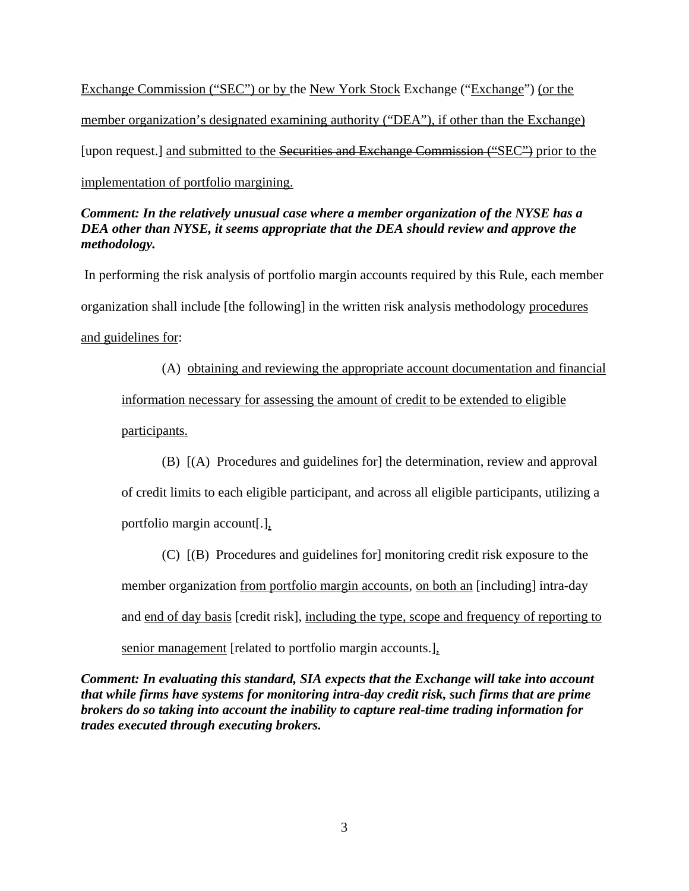Exchange Commission ("SEC") or by the New York Stock Exchange ("Exchange") (or the member organization's designated examining authority ("DEA"), if other than the Exchange) [upon request.] and submitted to the Securities and Exchange Commission ("SEC") prior to the implementation of portfolio margining.

# *Comment: In the relatively unusual case where a member organization of the NYSE has a DEA other than NYSE, it seems appropriate that the DEA should review and approve the methodology.*

 In performing the risk analysis of portfolio margin accounts required by this Rule, each member organization shall include [the following] in the written risk analysis methodology procedures and guidelines for:

(A) obtaining and reviewing the appropriate account documentation and financial information necessary for assessing the amount of credit to be extended to eligible participants.

(B) [(A) Procedures and guidelines for] the determination, review and approval of credit limits to each eligible participant, and across all eligible participants, utilizing a portfolio margin account[.],

(C) [(B) Procedures and guidelines for] monitoring credit risk exposure to the member organization from portfolio margin accounts, on both an [including] intra-day and end of day basis [credit risk], including the type, scope and frequency of reporting to senior management [related to portfolio margin accounts.],

*Comment: In evaluating this standard, SIA expects that the Exchange will take into account that while firms have systems for monitoring intra-day credit risk, such firms that are prime brokers do so taking into account the inability to capture real-time trading information for trades executed through executing brokers.*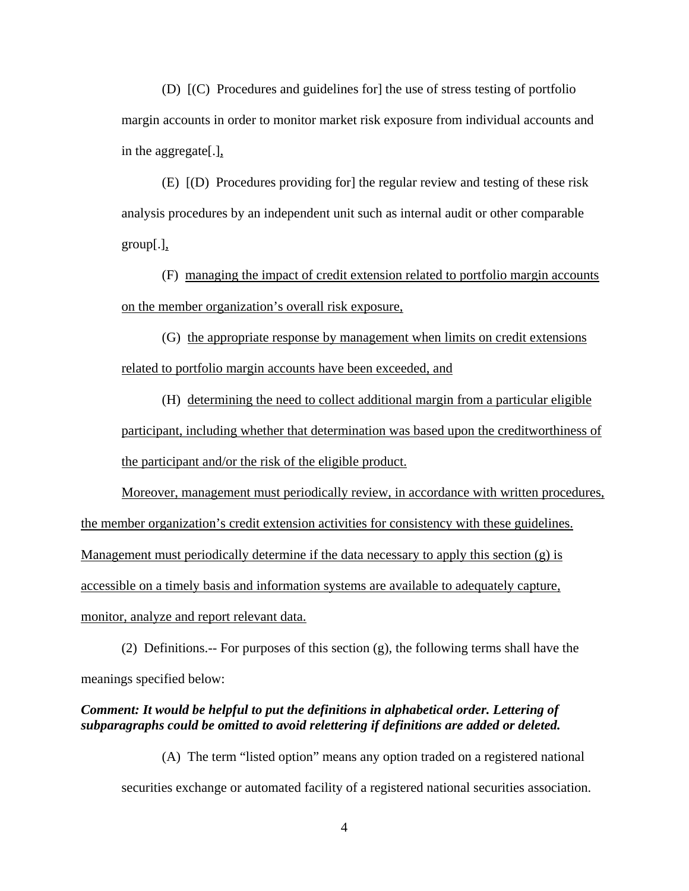(D) [(C) Procedures and guidelines for] the use of stress testing of portfolio margin accounts in order to monitor market risk exposure from individual accounts and in the aggregate[.],

(E) [(D) Procedures providing for] the regular review and testing of these risk analysis procedures by an independent unit such as internal audit or other comparable group[.],

(F) managing the impact of credit extension related to portfolio margin accounts on the member organization's overall risk exposure,

(G) the appropriate response by management when limits on credit extensions related to portfolio margin accounts have been exceeded, and

(H) determining the need to collect additional margin from a particular eligible participant, including whether that determination was based upon the creditworthiness of the participant and/or the risk of the eligible product.

Moreover, management must periodically review, in accordance with written procedures, the member organization's credit extension activities for consistency with these guidelines. Management must periodically determine if the data necessary to apply this section  $(g)$  is accessible on a timely basis and information systems are available to adequately capture, monitor, analyze and report relevant data.

(2) Definitions.-- For purposes of this section (g), the following terms shall have the meanings specified below:

### *Comment: It would be helpful to put the definitions in alphabetical order. Lettering of subparagraphs could be omitted to avoid relettering if definitions are added or deleted.*

(A) The term "listed option" means any option traded on a registered national securities exchange or automated facility of a registered national securities association.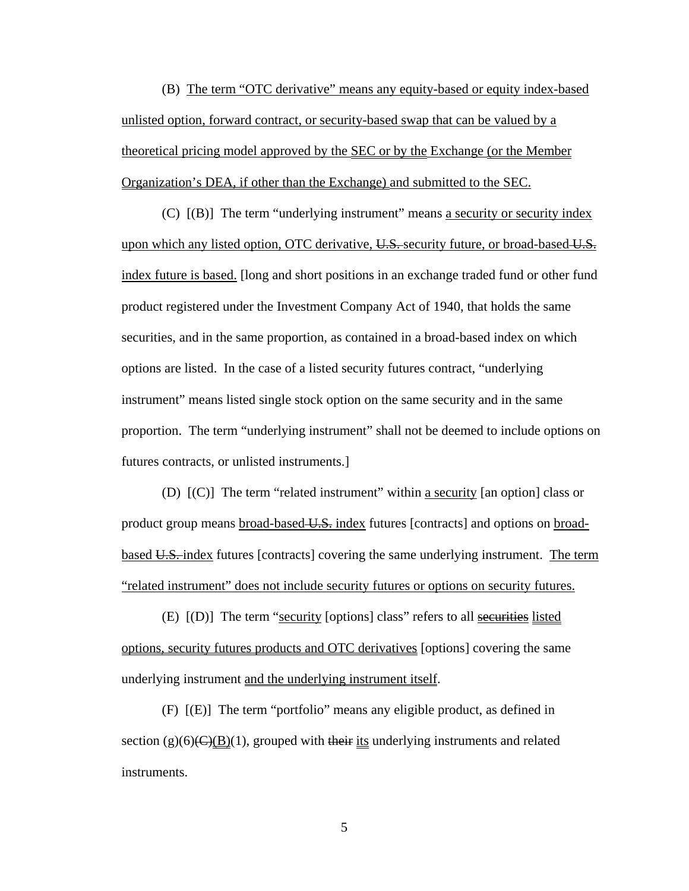(B) The term "OTC derivative" means any equity-based or equity index-based unlisted option, forward contract, or security-based swap that can be valued by a theoretical pricing model approved by the SEC or by the Exchange (or the Member Organization's DEA, if other than the Exchange) and submitted to the SEC.

(C) [(B)] The term "underlying instrument" means a security or security index upon which any listed option, OTC derivative, U.S. security future, or broad-based U.S. index future is based. [long and short positions in an exchange traded fund or other fund product registered under the Investment Company Act of 1940, that holds the same securities, and in the same proportion, as contained in a broad-based index on which options are listed. In the case of a listed security futures contract, "underlying instrument" means listed single stock option on the same security and in the same proportion. The term "underlying instrument" shall not be deemed to include options on futures contracts, or unlisted instruments.]

(D)  $[(C)]$  The term "related instrument" within <u>a security</u> [an option] class or product group means broad-based U.S. index futures [contracts] and options on broadbased U.S. index futures [contracts] covering the same underlying instrument. The term "related instrument" does not include security futures or options on security futures.

(E) [(D)] The term "security [options] class" refers to all securities listed options, security futures products and OTC derivatives [options] covering the same underlying instrument and the underlying instrument itself.

(F) [(E)] The term "portfolio" means any eligible product, as defined in section  $(g)(6)$ (C)(B)(1), grouped with their its underlying instruments and related instruments.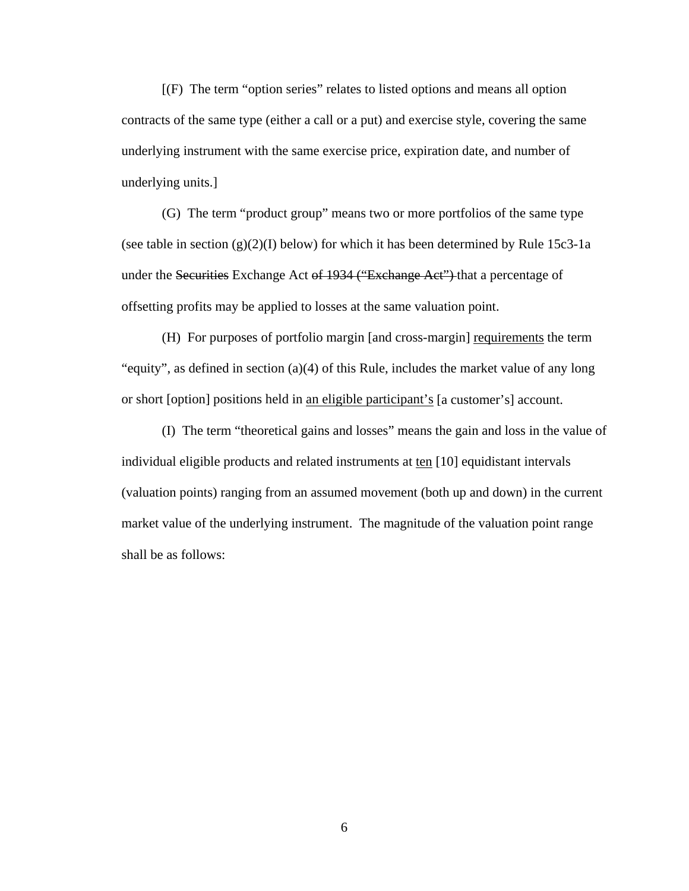[(F) The term "option series" relates to listed options and means all option contracts of the same type (either a call or a put) and exercise style, covering the same underlying instrument with the same exercise price, expiration date, and number of underlying units.]

(G) The term "product group" means two or more portfolios of the same type (see table in section  $(g)(2)(I)$  below) for which it has been determined by Rule 15c3-1a under the Securities Exchange Act of 1934 ("Exchange Act") that a percentage of offsetting profits may be applied to losses at the same valuation point.

(H) For purposes of portfolio margin [and cross-margin] requirements the term "equity", as defined in section (a)(4) of this Rule, includes the market value of any long or short [option] positions held in an eligible participant's [a customer's] account.

(I) The term "theoretical gains and losses" means the gain and loss in the value of individual eligible products and related instruments at ten [10] equidistant intervals (valuation points) ranging from an assumed movement (both up and down) in the current market value of the underlying instrument. The magnitude of the valuation point range shall be as follows: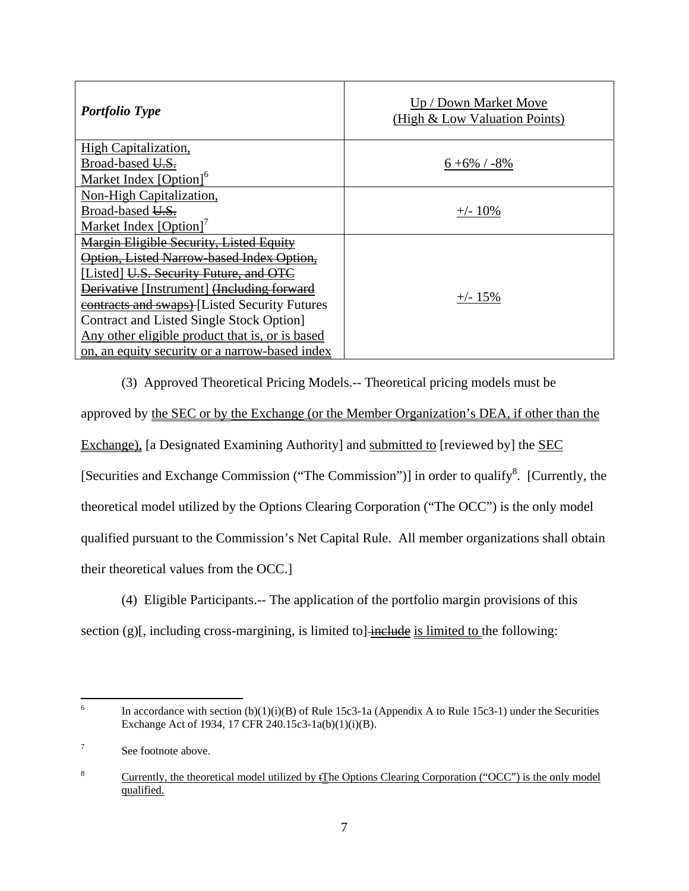| <b>Portfolio Type</b>                                  | Up / Down Market Move<br>(High & Low Valuation Points) |
|--------------------------------------------------------|--------------------------------------------------------|
| <b>High Capitalization,</b>                            |                                                        |
| Broad-based U.S.<br>Market Index [Option] <sup>6</sup> | $6 + 6\%$ / -8%                                        |
| Non-High Capitalization,                               |                                                        |
| Broad-based U.S.                                       | $+/- 10\%$                                             |
| Market Index [Option] <sup>7</sup>                     |                                                        |
| Margin Eligible Security, Listed Equity                | $+/- 15\%$                                             |
| Option, Listed Narrow-based Index Option,              |                                                        |
| [Listed] <del>U.S. Security Future, and OTC</del>      |                                                        |
| Derivative [Instrument] (Including forward             |                                                        |
| contracts and swaps) [Listed Security Futures          |                                                        |
| Contract and Listed Single Stock Option                |                                                        |
| Any other eligible product that is, or is based        |                                                        |
| on, an equity security or a narrow-based index         |                                                        |

(3) Approved Theoretical Pricing Models.-- Theoretical pricing models must be approved by the SEC or by the Exchange (or the Member Organization's DEA, if other than the Exchange), [a Designated Examining Authority] and submitted to [reviewed by] the SEC [Securities and Exchange Commission ("The Commission")] in order to qualify<sup>8</sup>. [Currently, the theoretical model utilized by the Options Clearing Corporation ("The OCC") is the only model qualified pursuant to the Commission's Net Capital Rule. All member organizations shall obtain their theoretical values from the OCC.]

(4) Eligible Participants.-- The application of the portfolio margin provisions of this section  $(g)$ [, including cross-margining, is limited to] include is limited to the following:

 $\overline{a}$ 6 In accordance with section (b)(1)(i)(B) of Rule 15c3-1a (Appendix A to Rule 15c3-1) under the Securities Exchange Act of 1934, 17 CFR 240.15c3-1a(b)(1)(i)(B).

<sup>7</sup> See footnote above.

<sup>8</sup> Currently, the theoretical model utilized by tThe Options Clearing Corporation ("OCC") is the only model qualified.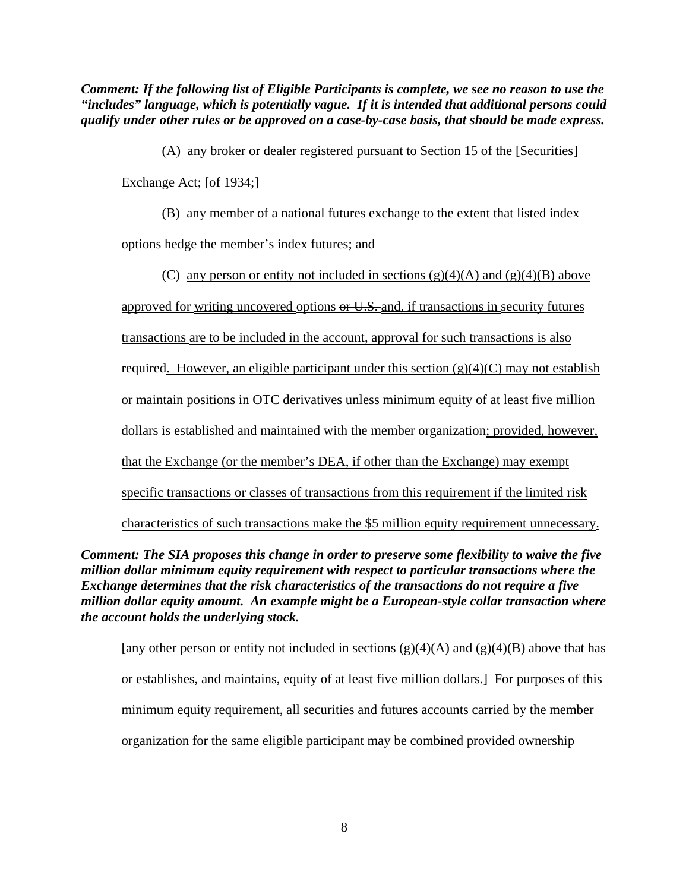*Comment: If the following list of Eligible Participants is complete, we see no reason to use the "includes" language, which is potentially vague. If it is intended that additional persons could qualify under other rules or be approved on a case-by-case basis, that should be made express.* 

(A) any broker or dealer registered pursuant to Section 15 of the [Securities]

Exchange Act; [of 1934;]

(B) any member of a national futures exchange to the extent that listed index

options hedge the member's index futures; and

(C) any person or entity not included in sections  $(g)(4)(A)$  and  $(g)(4)(B)$  above approved for writing uncovered options or U.S. and, if transactions in security futures transactions are to be included in the account, approval for such transactions is also required. However, an eligible participant under this section  $(g)(4)(C)$  may not establish or maintain positions in OTC derivatives unless minimum equity of at least five million dollars is established and maintained with the member organization; provided, however, that the Exchange (or the member's DEA, if other than the Exchange) may exempt specific transactions or classes of transactions from this requirement if the limited risk characteristics of such transactions make the \$5 million equity requirement unnecessary.

*Comment: The SIA proposes this change in order to preserve some flexibility to waive the five million dollar minimum equity requirement with respect to particular transactions where the Exchange determines that the risk characteristics of the transactions do not require a five million dollar equity amount. An example might be a European-style collar transaction where the account holds the underlying stock.* 

[any other person or entity not included in sections  $(g)(4)(A)$  and  $(g)(4)(B)$  above that has or establishes, and maintains, equity of at least five million dollars.] For purposes of this minimum equity requirement, all securities and futures accounts carried by the member organization for the same eligible participant may be combined provided ownership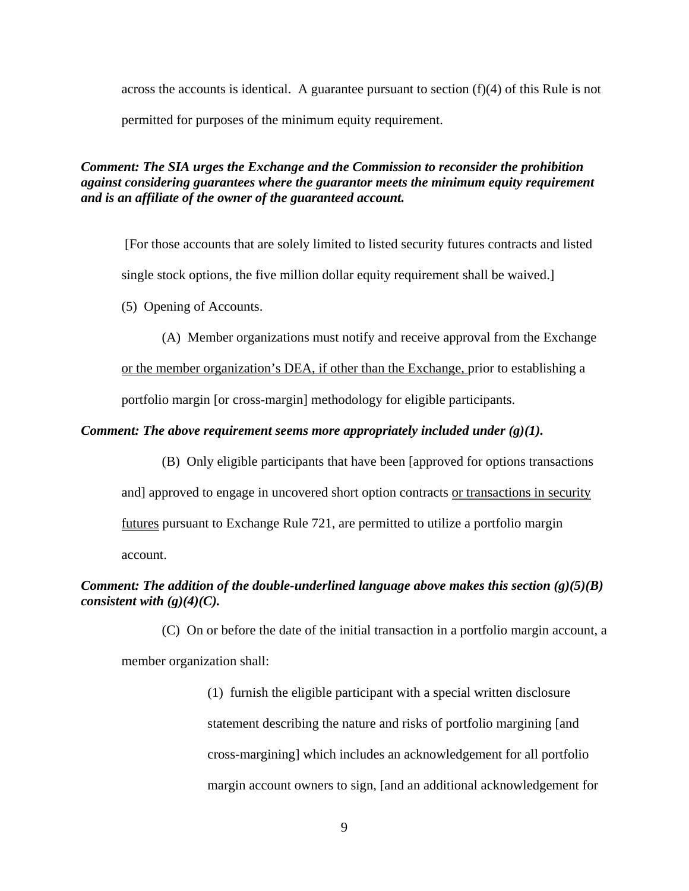across the accounts is identical. A guarantee pursuant to section  $(f)(4)$  of this Rule is not permitted for purposes of the minimum equity requirement.

### *Comment: The SIA urges the Exchange and the Commission to reconsider the prohibition against considering guarantees where the guarantor meets the minimum equity requirement and is an affiliate of the owner of the guaranteed account.*

[For those accounts that are solely limited to listed security futures contracts and listed

single stock options, the five million dollar equity requirement shall be waived.]

(5) Opening of Accounts.

(A) Member organizations must notify and receive approval from the Exchange

or the member organization's DEA, if other than the Exchange, prior to establishing a

portfolio margin [or cross-margin] methodology for eligible participants.

#### *Comment: The above requirement seems more appropriately included under (g)(1).*

(B) Only eligible participants that have been [approved for options transactions and] approved to engage in uncovered short option contracts or transactions in security futures pursuant to Exchange Rule 721, are permitted to utilize a portfolio margin account.

# *Comment: The addition of the double-underlined language above makes this section (g)(5)(B) consistent with (g)(4)(C).*

(C) On or before the date of the initial transaction in a portfolio margin account, a member organization shall:

> (1) furnish the eligible participant with a special written disclosure statement describing the nature and risks of portfolio margining [and cross-margining] which includes an acknowledgement for all portfolio margin account owners to sign, [and an additional acknowledgement for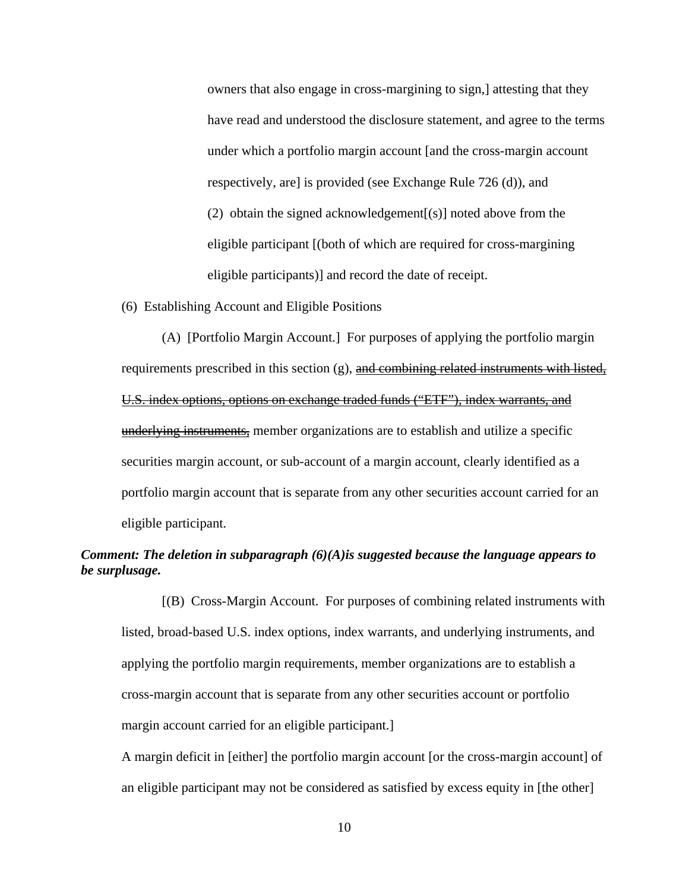owners that also engage in cross-margining to sign,] attesting that they have read and understood the disclosure statement, and agree to the terms under which a portfolio margin account [and the cross-margin account respectively, are] is provided (see Exchange Rule 726 (d)), and (2) obtain the signed acknowledgement[(s)] noted above from the eligible participant [(both of which are required for cross-margining eligible participants)] and record the date of receipt.

(6) Establishing Account and Eligible Positions

(A) [Portfolio Margin Account.] For purposes of applying the portfolio margin requirements prescribed in this section (g), and combining related instruments with listed, U.S. index options, options on exchange traded funds ("ETF"), index warrants, and underlying instruments, member organizations are to establish and utilize a specific securities margin account, or sub-account of a margin account, clearly identified as a portfolio margin account that is separate from any other securities account carried for an eligible participant.

### *Comment: The deletion in subparagraph (6)(A)is suggested because the language appears to be surplusage.*

[(B) Cross-Margin Account. For purposes of combining related instruments with listed, broad-based U.S. index options, index warrants, and underlying instruments, and applying the portfolio margin requirements, member organizations are to establish a cross-margin account that is separate from any other securities account or portfolio margin account carried for an eligible participant.]

A margin deficit in [either] the portfolio margin account [or the cross-margin account] of an eligible participant may not be considered as satisfied by excess equity in [the other]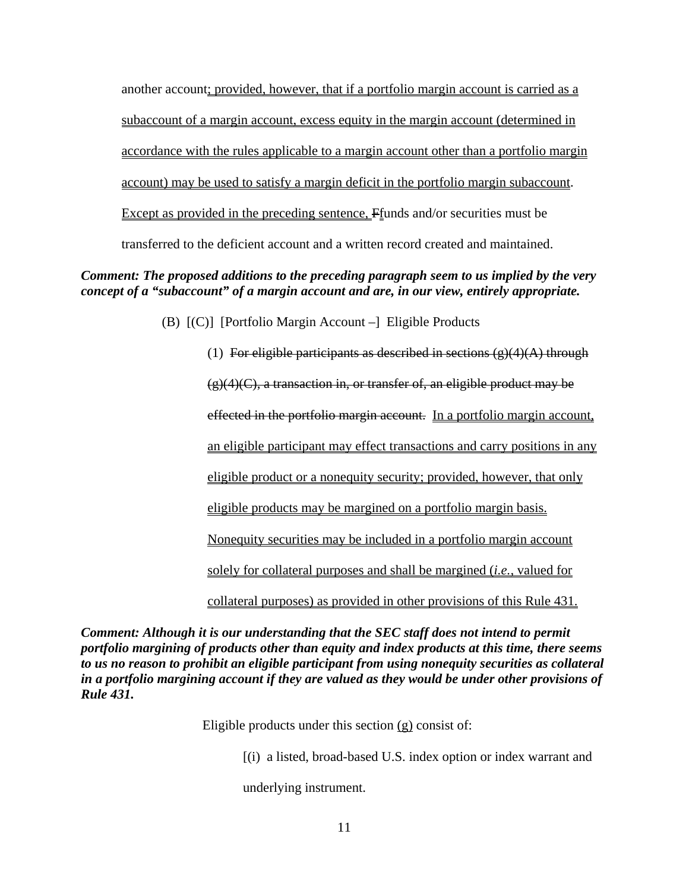another account; provided, however, that if a portfolio margin account is carried as a subaccount of a margin account, excess equity in the margin account (determined in accordance with the rules applicable to a margin account other than a portfolio margin account) may be used to satisfy a margin deficit in the portfolio margin subaccount. Except as provided in the preceding sentence, Ffunds and/or securities must be

transferred to the deficient account and a written record created and maintained.

# *Comment: The proposed additions to the preceding paragraph seem to us implied by the very concept of a "subaccount" of a margin account and are, in our view, entirely appropriate.*

(B) [(C)] [Portfolio Margin Account –] Eligible Products

(1) For eligible participants as described in sections  $(g)(4)(A)$  through  $(g)(4)(C)$ , a transaction in, or transfer of, an eligible product may be effected in the portfolio margin account. In a portfolio margin account, an eligible participant may effect transactions and carry positions in any eligible product or a nonequity security; provided, however, that only eligible products may be margined on a portfolio margin basis. Nonequity securities may be included in a portfolio margin account solely for collateral purposes and shall be margined (*i.e.,* valued for collateral purposes) as provided in other provisions of this Rule 431.

*Comment: Although it is our understanding that the SEC staff does not intend to permit portfolio margining of products other than equity and index products at this time, there seems to us no reason to prohibit an eligible participant from using nonequity securities as collateral in a portfolio margining account if they are valued as they would be under other provisions of Rule 431.* 

Eligible products under this section (g) consist of:

[(i) a listed, broad-based U.S. index option or index warrant and

underlying instrument.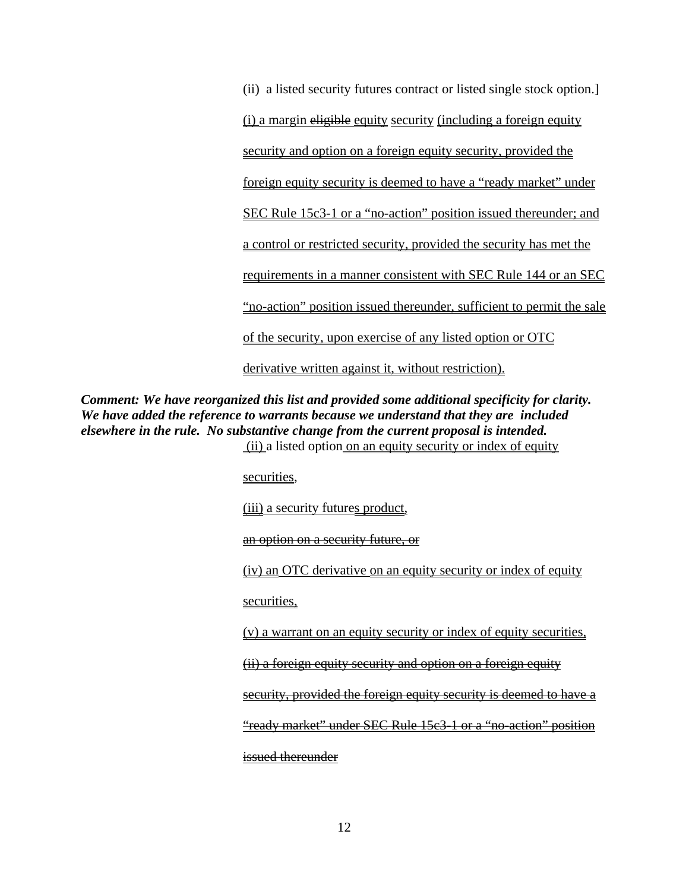(ii) a listed security futures contract or listed single stock option.] (i) a margin eligible equity security (including a foreign equity security and option on a foreign equity security, provided the foreign equity security is deemed to have a "ready market" under SEC Rule 15c3-1 or a "no-action" position issued thereunder; and a control or restricted security, provided the security has met the requirements in a manner consistent with SEC Rule 144 or an SEC "no-action" position issued thereunder, sufficient to permit the sale of the security, upon exercise of any listed option or OTC

derivative written against it, without restriction).

*Comment: We have reorganized this list and provided some additional specificity for clarity. We have added the reference to warrants because we understand that they are included elsewhere in the rule. No substantive change from the current proposal is intended.*  (ii) a listed option on an equity security or index of equity

securities,

(iii) a security futures product,

an option on a security future, or

(iv) an OTC derivative on an equity security or index of equity

securities,

(v) a warrant on an equity security or index of equity securities,

(ii) a foreign equity security and option on a foreign equity

security, provided the foreign equity security is deemed to have a

"ready market" under SEC Rule 15c3-1 or a "no-action" position

issued thereunder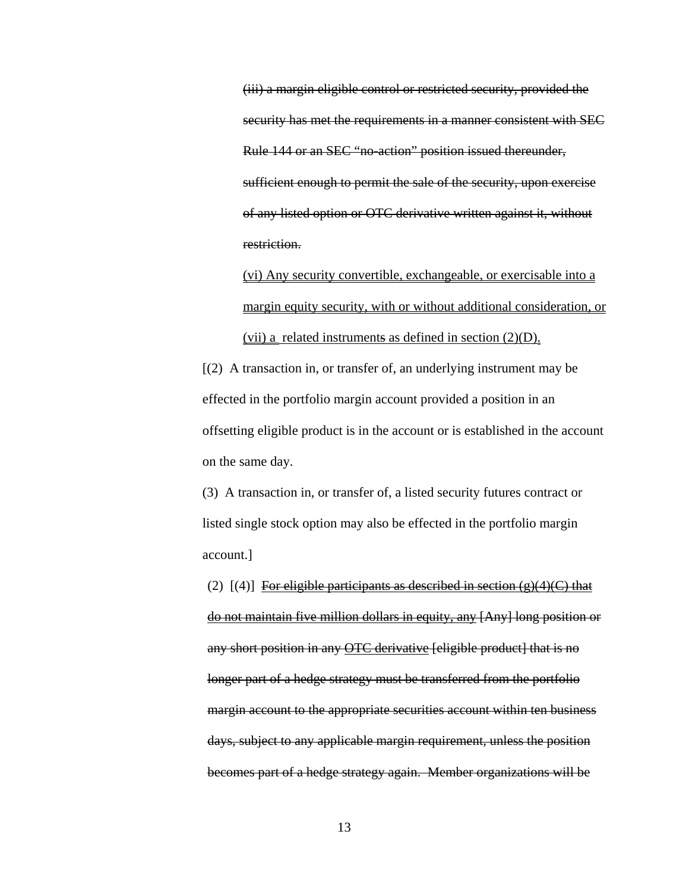(iii) a margin eligible control or restricted security, provided the security has met the requirements in a manner consistent with SEC Rule 144 or an SEC "no-action" position issued thereunder, sufficient enough to permit the sale of the security, upon exercise of any listed option or OTC derivative written against it, without restriction.

(vi) Any security convertible, exchangeable, or exercisable into a margin equity security, with or without additional consideration, or  $(vii)$  a related instruments as defined in section  $(2)(D)$ .

[(2) A transaction in, or transfer of, an underlying instrument may be effected in the portfolio margin account provided a position in an offsetting eligible product is in the account or is established in the account on the same day.

(3) A transaction in, or transfer of, a listed security futures contract or listed single stock option may also be effected in the portfolio margin account.]

(2)  $[(4)]$  For eligible participants as described in section  $(g)(4)(C)$  that do not maintain five million dollars in equity, any [Any] long position or any short position in any OTC derivative [eligible product] that is no longer part of a hedge strategy must be transferred from the portfolio margin account to the appropriate securities account within ten business days, subject to any applicable margin requirement, unless the position becomes part of a hedge strategy again. Member organizations will be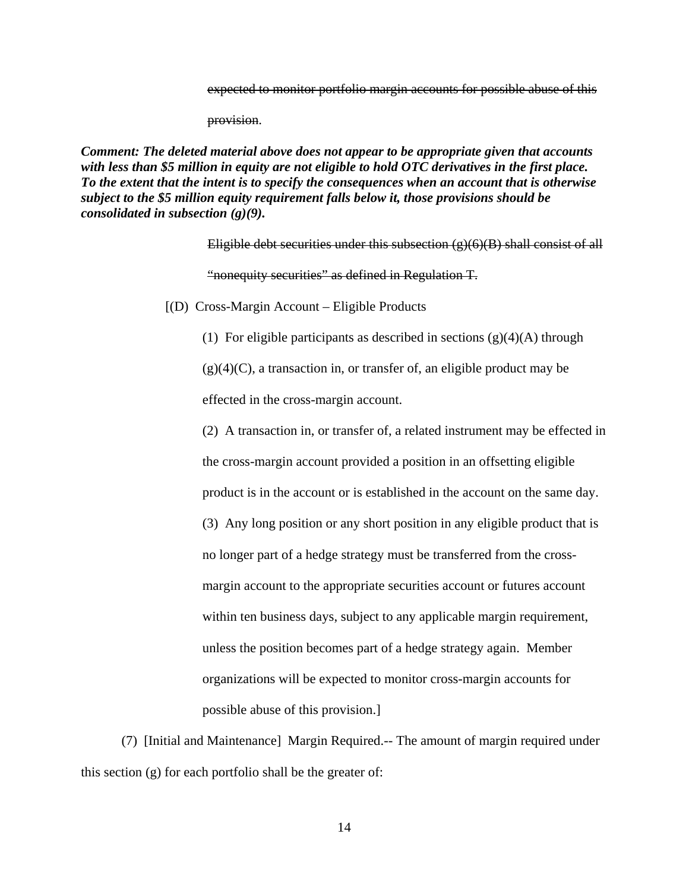expected to monitor portfolio margin accounts for possible abuse of this

provision.

*Comment: The deleted material above does not appear to be appropriate given that accounts with less than \$5 million in equity are not eligible to hold OTC derivatives in the first place. To the extent that the intent is to specify the consequences when an account that is otherwise subject to the \$5 million equity requirement falls below it, those provisions should be consolidated in subsection (g)(9).* 

> Eligible debt securities under this subsection  $(g)(6)(B)$  shall consist of all "nonequity securities" as defined in Regulation T.

 $[(D) Cross-Margin Account - Elizabeth Products]$ 

(1) For eligible participants as described in sections  $(g)(4)(A)$  through  $(g)(4)(C)$ , a transaction in, or transfer of, an eligible product may be effected in the cross-margin account.

(2) A transaction in, or transfer of, a related instrument may be effected in the cross-margin account provided a position in an offsetting eligible product is in the account or is established in the account on the same day.

(3) Any long position or any short position in any eligible product that is no longer part of a hedge strategy must be transferred from the crossmargin account to the appropriate securities account or futures account within ten business days, subject to any applicable margin requirement, unless the position becomes part of a hedge strategy again. Member organizations will be expected to monitor cross-margin accounts for possible abuse of this provision.]

(7) [Initial and Maintenance] Margin Required.-- The amount of margin required under this section (g) for each portfolio shall be the greater of: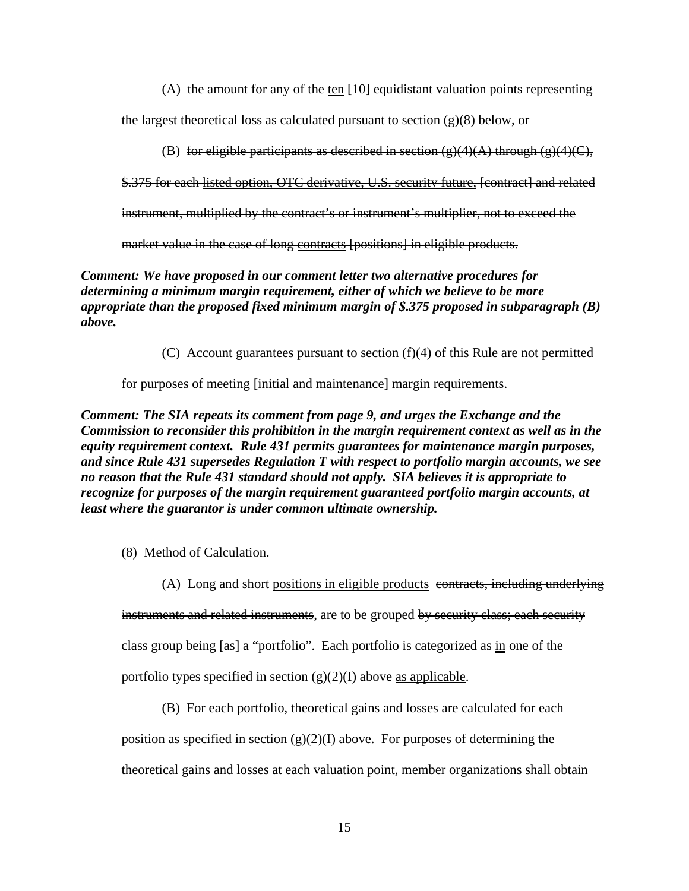(A) the amount for any of the ten  $[10]$  equidistant valuation points representing

the largest theoretical loss as calculated pursuant to section  $(g)(8)$  below, or

(B) for eligible participants as described in section  $\left(\frac{e}{4}(A), A\right)$  through  $\left(\frac{e}{4}\right)(C)$ .

\$.375 for each listed option, OTC derivative, U.S. security future, [contract] and related

instrument, multiplied by the contract's or instrument's multiplier, not to exceed the

market value in the case of long contracts [positions] in eligible products.

*Comment: We have proposed in our comment letter two alternative procedures for determining a minimum margin requirement, either of which we believe to be more appropriate than the proposed fixed minimum margin of \$.375 proposed in subparagraph (B) above.* 

(C) Account guarantees pursuant to section  $(f)(4)$  of this Rule are not permitted

for purposes of meeting [initial and maintenance] margin requirements.

*Comment: The SIA repeats its comment from page 9, and urges the Exchange and the Commission to reconsider this prohibition in the margin requirement context as well as in the equity requirement context. Rule 431 permits guarantees for maintenance margin purposes, and since Rule 431 supersedes Regulation T with respect to portfolio margin accounts, we see no reason that the Rule 431 standard should not apply. SIA believes it is appropriate to recognize for purposes of the margin requirement guaranteed portfolio margin accounts, at least where the guarantor is under common ultimate ownership.*

- (8) Method of Calculation.
	- (A) Long and short positions in eligible products contracts, including underlying

instruments and related instruments, are to be grouped by security class; each security

class group being [as] a "portfolio". Each portfolio is categorized as in one of the

portfolio types specified in section  $(g)(2)(I)$  above as applicable.

(B) For each portfolio, theoretical gains and losses are calculated for each

position as specified in section  $(g)(2)(I)$  above. For purposes of determining the theoretical gains and losses at each valuation point, member organizations shall obtain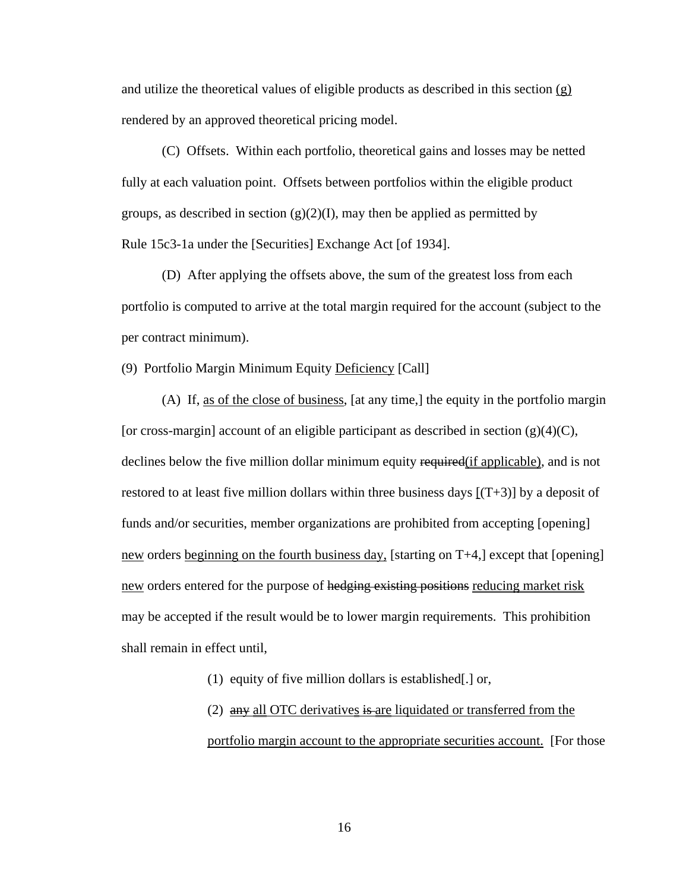and utilize the theoretical values of eligible products as described in this section  $(g)$ rendered by an approved theoretical pricing model.

(C) Offsets. Within each portfolio, theoretical gains and losses may be netted fully at each valuation point. Offsets between portfolios within the eligible product groups, as described in section  $(g)(2)(I)$ , may then be applied as permitted by Rule 15c3-1a under the [Securities] Exchange Act [of 1934].

(D) After applying the offsets above, the sum of the greatest loss from each portfolio is computed to arrive at the total margin required for the account (subject to the per contract minimum).

(9) Portfolio Margin Minimum Equity Deficiency [Call]

(A) If, as of the close of business, [at any time,] the equity in the portfolio margin [or cross-margin] account of an eligible participant as described in section  $(g)(4)(C)$ , declines below the five million dollar minimum equity required(if applicable), and is not restored to at least five million dollars within three business days  $[(T+3)]$  by a deposit of funds and/or securities, member organizations are prohibited from accepting [opening] new orders beginning on the fourth business day, [starting on T+4,] except that [opening] new orders entered for the purpose of hedging existing positions reducing market risk may be accepted if the result would be to lower margin requirements. This prohibition shall remain in effect until,

(1) equity of five million dollars is established[.] or,

(2)  $\frac{any}{all}$  OTC derivatives is are liquidated or transferred from the portfolio margin account to the appropriate securities account. [For those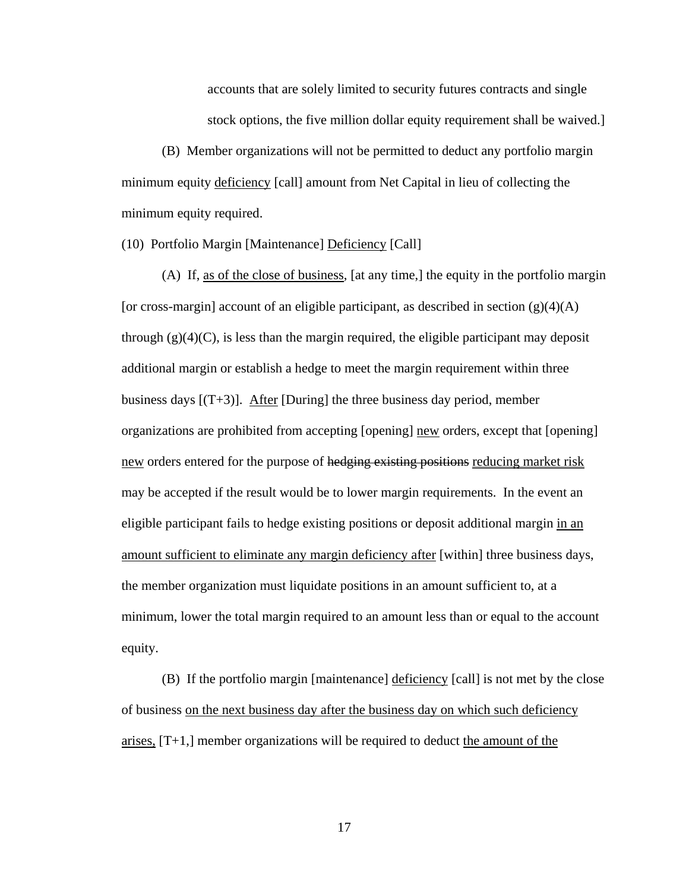accounts that are solely limited to security futures contracts and single stock options, the five million dollar equity requirement shall be waived.]

(B) Member organizations will not be permitted to deduct any portfolio margin minimum equity deficiency [call] amount from Net Capital in lieu of collecting the minimum equity required.

(10) Portfolio Margin [Maintenance] Deficiency [Call]

(A) If, as of the close of business, [at any time,] the equity in the portfolio margin [or cross-margin] account of an eligible participant, as described in section  $(g)(4)(A)$ through  $(g)(4)(C)$ , is less than the margin required, the eligible participant may deposit additional margin or establish a hedge to meet the margin requirement within three business days  $[(T+3)]$ . After [During] the three business day period, member organizations are prohibited from accepting [opening] new orders, except that [opening] new orders entered for the purpose of hedging existing positions reducing market risk may be accepted if the result would be to lower margin requirements. In the event an eligible participant fails to hedge existing positions or deposit additional margin in an amount sufficient to eliminate any margin deficiency after [within] three business days, the member organization must liquidate positions in an amount sufficient to, at a minimum, lower the total margin required to an amount less than or equal to the account equity.

(B) If the portfolio margin [maintenance] deficiency [call] is not met by the close of business on the next business day after the business day on which such deficiency arises, [T+1,] member organizations will be required to deduct the amount of the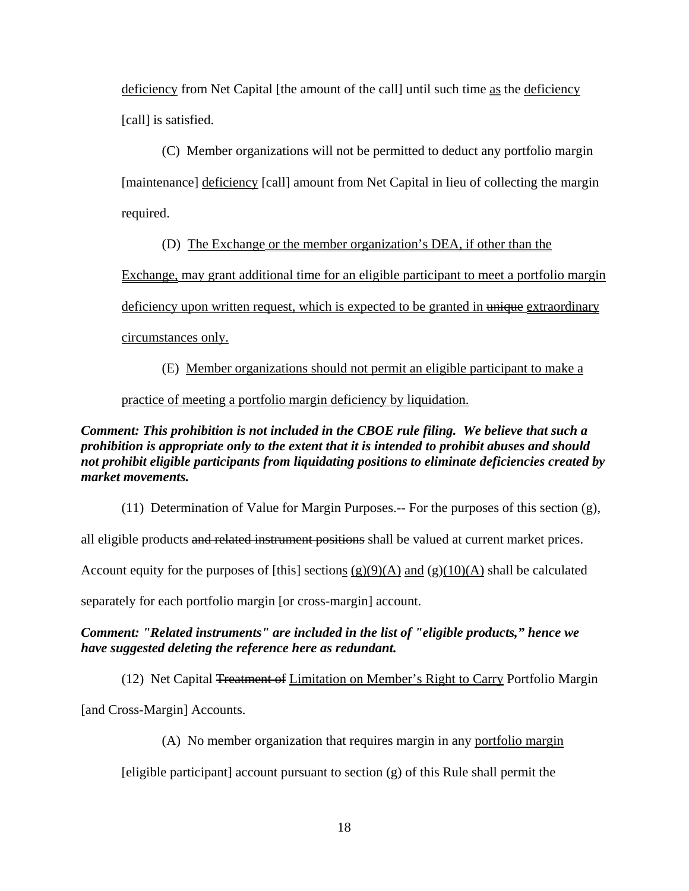deficiency from Net Capital [the amount of the call] until such time as the deficiency [call] is satisfied.

(C) Member organizations will not be permitted to deduct any portfolio margin [maintenance] deficiency [call] amount from Net Capital in lieu of collecting the margin required.

(D) The Exchange or the member organization's DEA, if other than the

Exchange, may grant additional time for an eligible participant to meet a portfolio margin deficiency upon written request, which is expected to be granted in unique extraordinary circumstances only.

(E) Member organizations should not permit an eligible participant to make a practice of meeting a portfolio margin deficiency by liquidation.

*Comment: This prohibition is not included in the CBOE rule filing. We believe that such a prohibition is appropriate only to the extent that it is intended to prohibit abuses and should not prohibit eligible participants from liquidating positions to eliminate deficiencies created by market movements.* 

(11) Determination of Value for Margin Purposes.-- For the purposes of this section  $(g)$ ,

all eligible products and related instrument positions shall be valued at current market prices.

Account equity for the purposes of [this] sections  $(g)(9)(A)$  and  $(g)(10)(A)$  shall be calculated

separately for each portfolio margin [or cross-margin] account.

*Comment: "Related instruments" are included in the list of "eligible products," hence we have suggested deleting the reference here as redundant.* 

(12) Net Capital Treatment of Limitation on Member's Right to Carry Portfolio Margin

[and Cross-Margin] Accounts.

(A) No member organization that requires margin in any portfolio margin

 $\lceil$ eligible participant $\lceil$  account pursuant to section  $(g)$  of this Rule shall permit the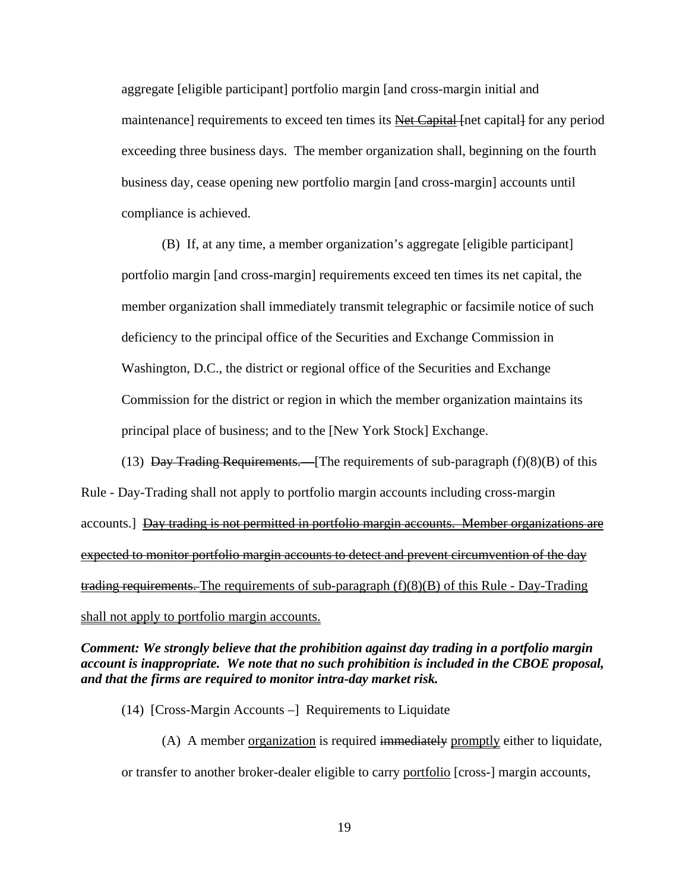aggregate [eligible participant] portfolio margin [and cross-margin initial and maintenance] requirements to exceed ten times its Net Capital free capital for any period exceeding three business days. The member organization shall, beginning on the fourth business day, cease opening new portfolio margin [and cross-margin] accounts until compliance is achieved.

(B) If, at any time, a member organization's aggregate [eligible participant] portfolio margin [and cross-margin] requirements exceed ten times its net capital, the member organization shall immediately transmit telegraphic or facsimile notice of such deficiency to the principal office of the Securities and Exchange Commission in Washington, D.C., the district or regional office of the Securities and Exchange Commission for the district or region in which the member organization maintains its principal place of business; and to the [New York Stock] Exchange.

(13) Day Trading Requirements.—[The requirements of sub-paragraph  $(f)(8)(B)$  of this Rule - Day-Trading shall not apply to portfolio margin accounts including cross-margin accounts.] Day trading is not permitted in portfolio margin accounts. Member organizations are expected to monitor portfolio margin accounts to detect and prevent circumvention of the day trading requirements. The requirements of sub-paragraph (f)(8)(B) of this Rule - Day-Trading shall not apply to portfolio margin accounts.

*Comment: We strongly believe that the prohibition against day trading in a portfolio margin account is inappropriate. We note that no such prohibition is included in the CBOE proposal, and that the firms are required to monitor intra-day market risk.* 

- (14) [Cross-Margin Accounts –] Requirements to Liquidate
- (A) A member organization is required immediately promptly either to liquidate, or transfer to another broker-dealer eligible to carry portfolio [cross-] margin accounts,